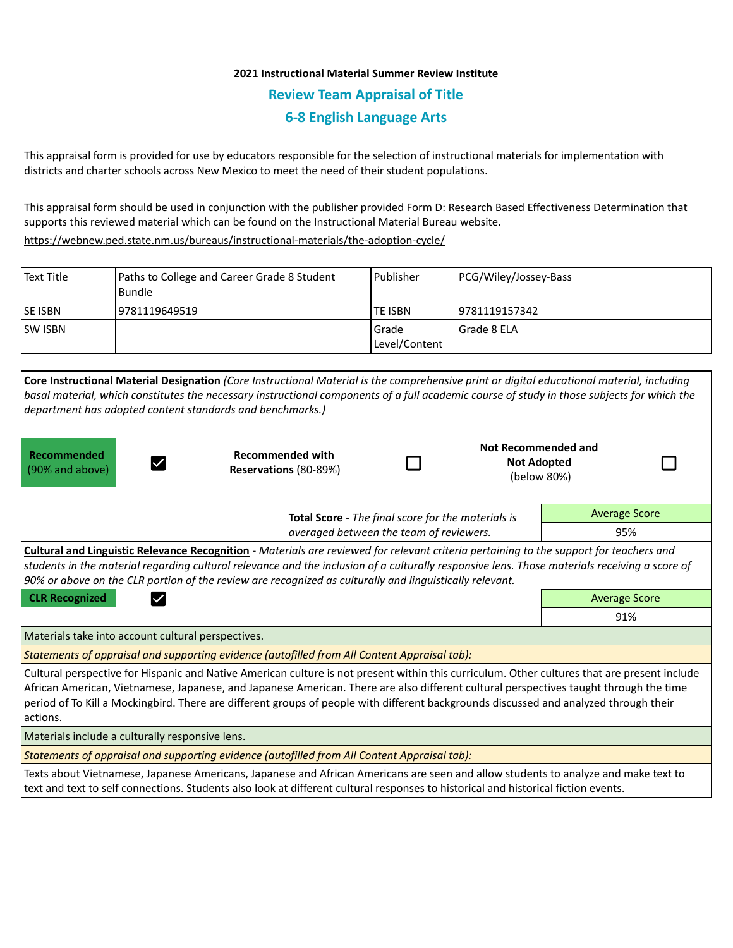## **2021 Instructional Material Summer Review Institute Review Team Appraisal of Title 6-8 English Language Arts**

This appraisal form is provided for use by educators responsible for the selection of instructional materials for implementation with districts and charter schools across New Mexico to meet the need of their student populations.

This appraisal form should be used in conjunction with the publisher provided Form D: Research Based Effectiveness Determination that supports this reviewed material which can be found on the Instructional Material Bureau website.

<https://webnew.ped.state.nm.us/bureaus/instructional-materials/the-adoption-cycle/>

| Text Title     | Paths to College and Career Grade 8 Student<br>Bundle | l Publisher              | PCG/Wiley/Jossey-Bass |
|----------------|-------------------------------------------------------|--------------------------|-----------------------|
| <b>SE ISBN</b> | 9781119649519                                         | <b>TE ISBN</b>           | 9781119157342         |
| <b>SW ISBN</b> |                                                       | l Grade<br>Level/Content | l Grade 8 ELA         |

| Core Instructional Material Designation (Core Instructional Material is the comprehensive print or digital educational material, including<br>basal material, which constitutes the necessary instructional components of a full academic course of study in those subjects for which the<br>department has adopted content standards and benchmarks.)                                                                                     |                                                  |  |                      |                                                          |  |  |  |  |
|--------------------------------------------------------------------------------------------------------------------------------------------------------------------------------------------------------------------------------------------------------------------------------------------------------------------------------------------------------------------------------------------------------------------------------------------|--------------------------------------------------|--|----------------------|----------------------------------------------------------|--|--|--|--|
| Recommended<br>(90% and above)                                                                                                                                                                                                                                                                                                                                                                                                             | <b>Recommended with</b><br>Reservations (80-89%) |  |                      | Not Recommended and<br><b>Not Adopted</b><br>(below 80%) |  |  |  |  |
| Total Score - The final score for the materials is<br>averaged between the team of reviewers.                                                                                                                                                                                                                                                                                                                                              |                                                  |  | <b>Average Score</b> |                                                          |  |  |  |  |
|                                                                                                                                                                                                                                                                                                                                                                                                                                            |                                                  |  |                      | 95%                                                      |  |  |  |  |
| <b>Cultural and Linguistic Relevance Recognition</b> - Materials are reviewed for relevant criteria pertaining to the support for teachers and<br>students in the material regarding cultural relevance and the inclusion of a culturally responsive lens. Those materials receiving a score of<br>90% or above on the CLR portion of the review are recognized as culturally and linguistically relevant.                                 |                                                  |  |                      |                                                          |  |  |  |  |
| <b>CLR Recognized</b>                                                                                                                                                                                                                                                                                                                                                                                                                      | <b>Average Score</b>                             |  |                      |                                                          |  |  |  |  |
|                                                                                                                                                                                                                                                                                                                                                                                                                                            | 91%                                              |  |                      |                                                          |  |  |  |  |
| Materials take into account cultural perspectives.                                                                                                                                                                                                                                                                                                                                                                                         |                                                  |  |                      |                                                          |  |  |  |  |
| Statements of appraisal and supporting evidence (autofilled from All Content Appraisal tab):                                                                                                                                                                                                                                                                                                                                               |                                                  |  |                      |                                                          |  |  |  |  |
| Cultural perspective for Hispanic and Native American culture is not present within this curriculum. Other cultures that are present include<br>African American, Vietnamese, Japanese, and Japanese American. There are also different cultural perspectives taught through the time<br>period of To Kill a Mockingbird. There are different groups of people with different backgrounds discussed and analyzed through their<br>actions. |                                                  |  |                      |                                                          |  |  |  |  |
| Materials include a culturally responsive lens.                                                                                                                                                                                                                                                                                                                                                                                            |                                                  |  |                      |                                                          |  |  |  |  |
| Statements of appraisal and supporting evidence (autofilled from All Content Appraisal tab):                                                                                                                                                                                                                                                                                                                                               |                                                  |  |                      |                                                          |  |  |  |  |
| Texts about Vietnamese, Japanese Americans, Japanese and African Americans are seen and allow students to analyze and make text to<br>text and text to self connections. Students also look at different cultural responses to historical and historical fiction events.                                                                                                                                                                   |                                                  |  |                      |                                                          |  |  |  |  |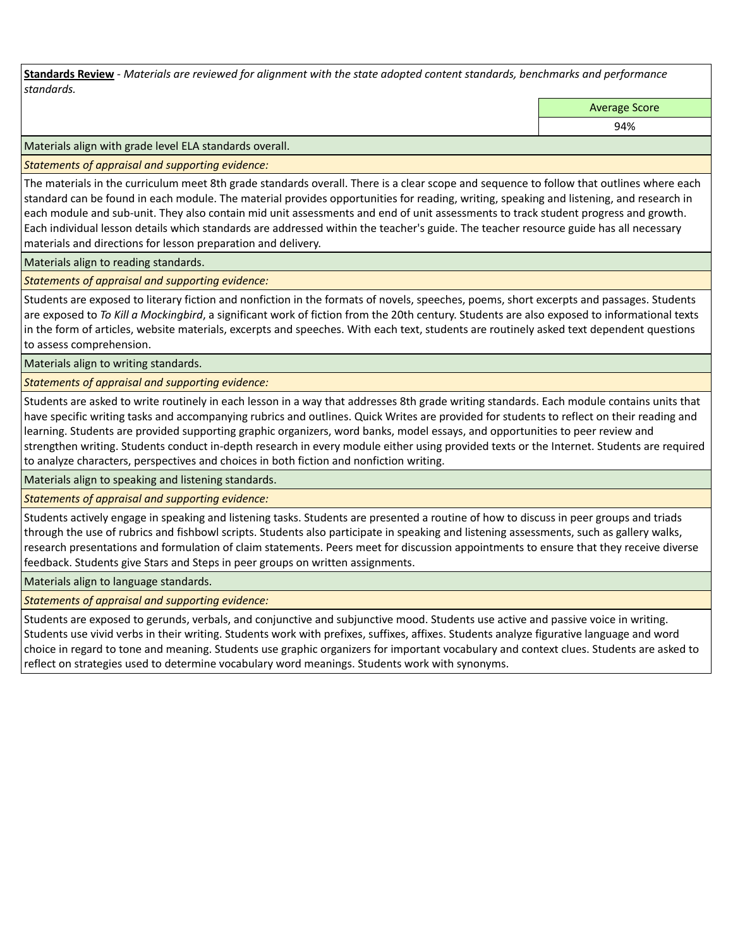**Standards Review** *- Materials are reviewed for alignment with the state adopted content standards, benchmarks and performance standards.*

Average Score

94%

Materials align with grade level ELA standards overall.

*Statements of appraisal and supporting evidence:* 

The materials in the curriculum meet 8th grade standards overall. There is a clear scope and sequence to follow that outlines where each standard can be found in each module. The material provides opportunities for reading, writing, speaking and listening, and research in each module and sub-unit. They also contain mid unit assessments and end of unit assessments to track student progress and growth. Each individual lesson details which standards are addressed within the teacher's guide. The teacher resource guide has all necessary materials and directions for lesson preparation and delivery.

Materials align to reading standards.

*Statements of appraisal and supporting evidence:* 

Students are exposed to literary fiction and nonfiction in the formats of novels, speeches, poems, short excerpts and passages. Students are exposed to *To Kill a Mockingbird*, a significant work of fiction from the 20th century. Students are also exposed to informational texts in the form of articles, website materials, excerpts and speeches. With each text, students are routinely asked text dependent questions to assess comprehension.

Materials align to writing standards.

*Statements of appraisal and supporting evidence:* 

Students are asked to write routinely in each lesson in a way that addresses 8th grade writing standards. Each module contains units that have specific writing tasks and accompanying rubrics and outlines. Quick Writes are provided for students to reflect on their reading and learning. Students are provided supporting graphic organizers, word banks, model essays, and opportunities to peer review and strengthen writing. Students conduct in-depth research in every module either using provided texts or the Internet. Students are required to analyze characters, perspectives and choices in both fiction and nonfiction writing.

Materials align to speaking and listening standards.

*Statements of appraisal and supporting evidence:* 

Students actively engage in speaking and listening tasks. Students are presented a routine of how to discuss in peer groups and triads through the use of rubrics and fishbowl scripts. Students also participate in speaking and listening assessments, such as gallery walks, research presentations and formulation of claim statements. Peers meet for discussion appointments to ensure that they receive diverse feedback. Students give Stars and Steps in peer groups on written assignments.

Materials align to language standards.

*Statements of appraisal and supporting evidence:* 

Students are exposed to gerunds, verbals, and conjunctive and subjunctive mood. Students use active and passive voice in writing. Students use vivid verbs in their writing. Students work with prefixes, suffixes, affixes. Students analyze figurative language and word choice in regard to tone and meaning. Students use graphic organizers for important vocabulary and context clues. Students are asked to reflect on strategies used to determine vocabulary word meanings. Students work with synonyms.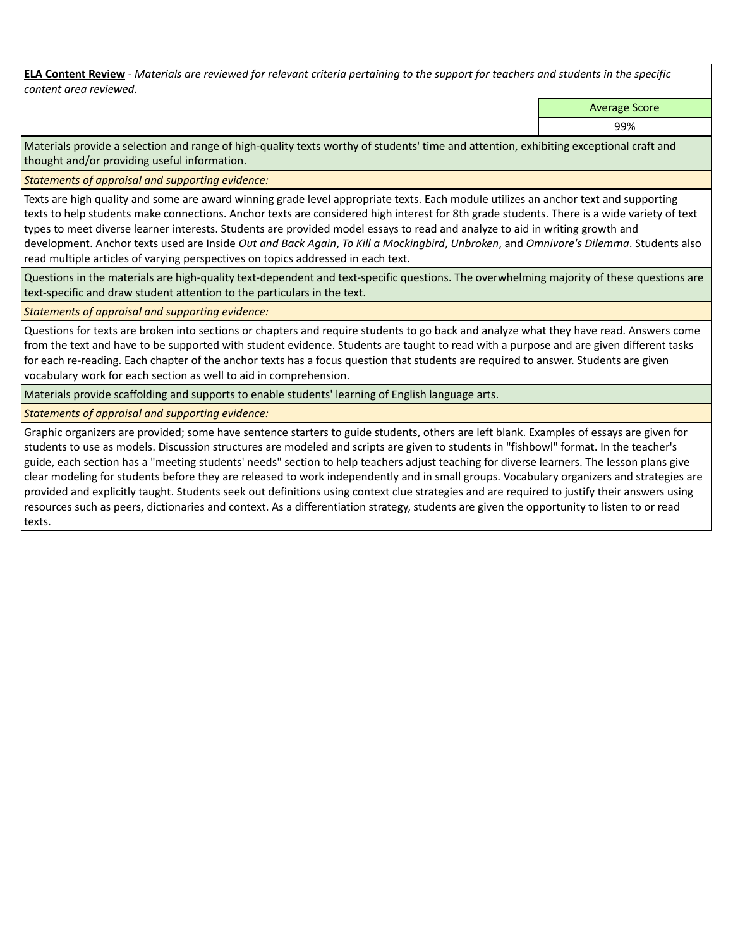**ELA Content Review** *- Materials are reviewed for relevant criteria pertaining to the support for teachers and students in the specific content area reviewed.*

Average Score

99%

Materials provide a selection and range of high-quality texts worthy of students' time and attention, exhibiting exceptional craft and thought and/or providing useful information.

*Statements of appraisal and supporting evidence:* 

Texts are high quality and some are award winning grade level appropriate texts. Each module utilizes an anchor text and supporting texts to help students make connections. Anchor texts are considered high interest for 8th grade students. There is a wide variety of text types to meet diverse learner interests. Students are provided model essays to read and analyze to aid in writing growth and development. Anchor texts used are Inside *Out and Back Again*, *To Kill a Mockingbird*, *Unbroken*, and *Omnivore's Dilemma*. Students also read multiple articles of varying perspectives on topics addressed in each text.

Questions in the materials are high-quality text-dependent and text-specific questions. The overwhelming majority of these questions are text-specific and draw student attention to the particulars in the text.

*Statements of appraisal and supporting evidence:* 

Questions for texts are broken into sections or chapters and require students to go back and analyze what they have read. Answers come from the text and have to be supported with student evidence. Students are taught to read with a purpose and are given different tasks for each re-reading. Each chapter of the anchor texts has a focus question that students are required to answer. Students are given vocabulary work for each section as well to aid in comprehension.

Materials provide scaffolding and supports to enable students' learning of English language arts.

*Statements of appraisal and supporting evidence:* 

Graphic organizers are provided; some have sentence starters to guide students, others are left blank. Examples of essays are given for students to use as models. Discussion structures are modeled and scripts are given to students in "fishbowl" format. In the teacher's guide, each section has a "meeting students' needs" section to help teachers adjust teaching for diverse learners. The lesson plans give clear modeling for students before they are released to work independently and in small groups. Vocabulary organizers and strategies are provided and explicitly taught. Students seek out definitions using context clue strategies and are required to justify their answers using resources such as peers, dictionaries and context. As a differentiation strategy, students are given the opportunity to listen to or read texts.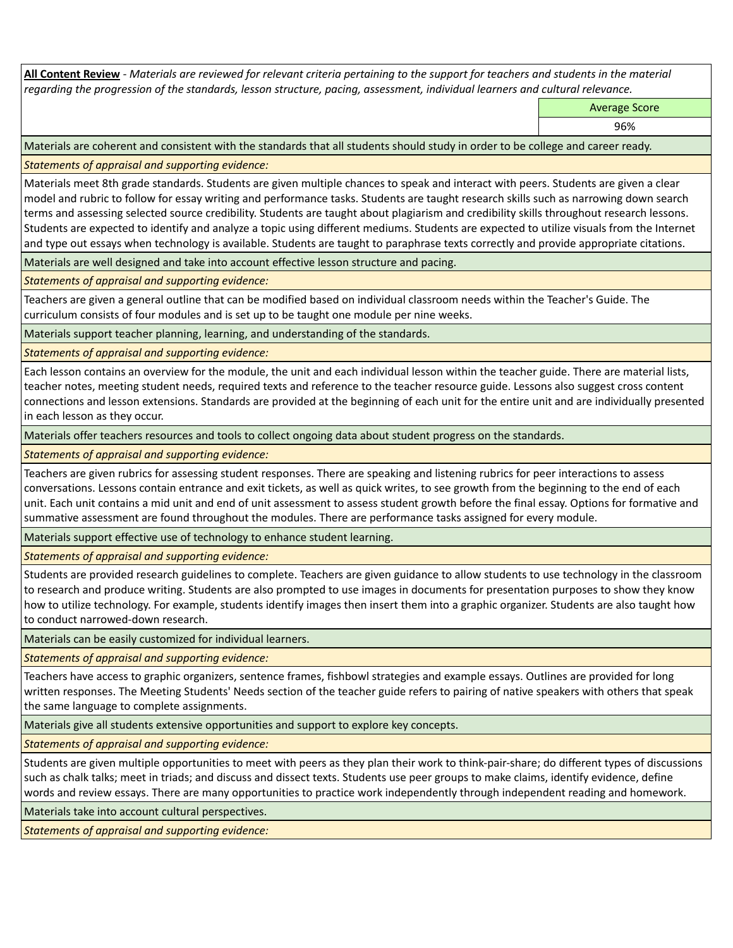**All Content Review** *- Materials are reviewed for relevant criteria pertaining to the support for teachers and students in the material regarding the progression of the standards, lesson structure, pacing, assessment, individual learners and cultural relevance.*

Average Score

96%

Materials are coherent and consistent with the standards that all students should study in order to be college and career ready.

*Statements of appraisal and supporting evidence:*

Materials meet 8th grade standards. Students are given multiple chances to speak and interact with peers. Students are given a clear model and rubric to follow for essay writing and performance tasks. Students are taught research skills such as narrowing down search terms and assessing selected source credibility. Students are taught about plagiarism and credibility skills throughout research lessons. Students are expected to identify and analyze a topic using different mediums. Students are expected to utilize visuals from the Internet and type out essays when technology is available. Students are taught to paraphrase texts correctly and provide appropriate citations.

Materials are well designed and take into account effective lesson structure and pacing.

*Statements of appraisal and supporting evidence:*

Teachers are given a general outline that can be modified based on individual classroom needs within the Teacher's Guide. The curriculum consists of four modules and is set up to be taught one module per nine weeks.

Materials support teacher planning, learning, and understanding of the standards.

*Statements of appraisal and supporting evidence:*

Each lesson contains an overview for the module, the unit and each individual lesson within the teacher guide. There are material lists, teacher notes, meeting student needs, required texts and reference to the teacher resource guide. Lessons also suggest cross content connections and lesson extensions. Standards are provided at the beginning of each unit for the entire unit and are individually presented in each lesson as they occur.

Materials offer teachers resources and tools to collect ongoing data about student progress on the standards.

*Statements of appraisal and supporting evidence:*

Teachers are given rubrics for assessing student responses. There are speaking and listening rubrics for peer interactions to assess conversations. Lessons contain entrance and exit tickets, as well as quick writes, to see growth from the beginning to the end of each unit. Each unit contains a mid unit and end of unit assessment to assess student growth before the final essay. Options for formative and summative assessment are found throughout the modules. There are performance tasks assigned for every module.

Materials support effective use of technology to enhance student learning.

*Statements of appraisal and supporting evidence:*

Students are provided research guidelines to complete. Teachers are given guidance to allow students to use technology in the classroom to research and produce writing. Students are also prompted to use images in documents for presentation purposes to show they know how to utilize technology. For example, students identify images then insert them into a graphic organizer. Students are also taught how to conduct narrowed-down research.

Materials can be easily customized for individual learners.

*Statements of appraisal and supporting evidence:* 

Teachers have access to graphic organizers, sentence frames, fishbowl strategies and example essays. Outlines are provided for long written responses. The Meeting Students' Needs section of the teacher guide refers to pairing of native speakers with others that speak the same language to complete assignments.

Materials give all students extensive opportunities and support to explore key concepts.

*Statements of appraisal and supporting evidence:*

Students are given multiple opportunities to meet with peers as they plan their work to think-pair-share; do different types of discussions such as chalk talks; meet in triads; and discuss and dissect texts. Students use peer groups to make claims, identify evidence, define words and review essays. There are many opportunities to practice work independently through independent reading and homework.

Materials take into account cultural perspectives.

*Statements of appraisal and supporting evidence:*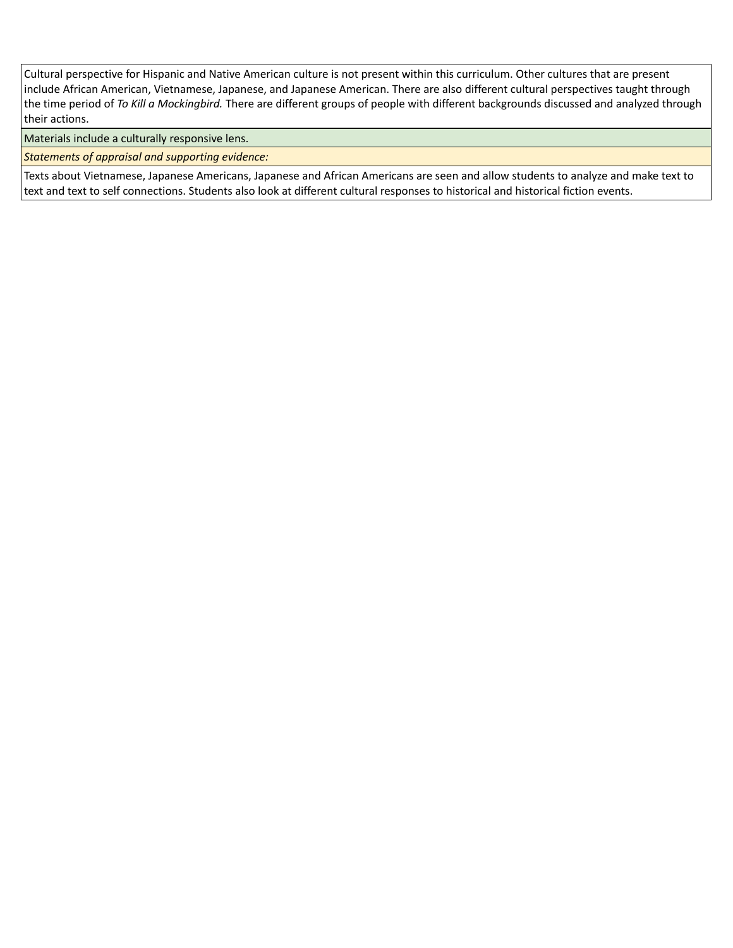Cultural perspective for Hispanic and Native American culture is not present within this curriculum. Other cultures that are present include African American, Vietnamese, Japanese, and Japanese American. There are also different cultural perspectives taught through the time period of *To Kill a Mockingbird.* There are different groups of people with different backgrounds discussed and analyzed through their actions.

Materials include a culturally responsive lens.

*Statements of appraisal and supporting evidence:*

Texts about Vietnamese, Japanese Americans, Japanese and African Americans are seen and allow students to analyze and make text to text and text to self connections. Students also look at different cultural responses to historical and historical fiction events.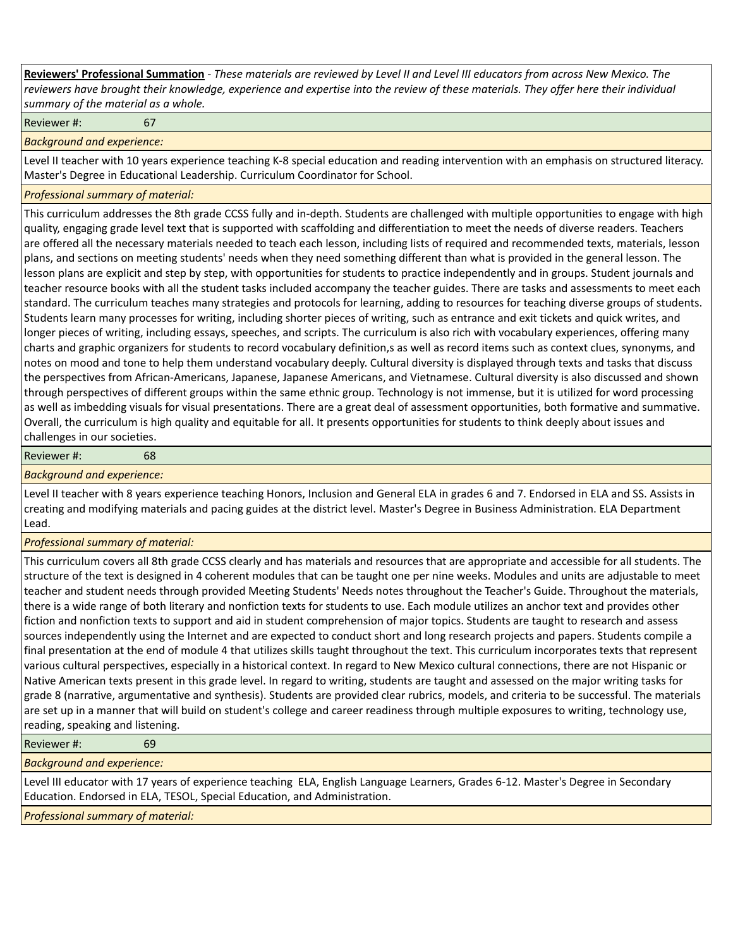**Reviewers' Professional Summation** *- These materials are reviewed by Level II and Level III educators from across New Mexico. The reviewers have brought their knowledge, experience and expertise into the review of these materials. They offer here their individual summary of the material as a whole.*

Reviewer #: 67

*Background and experience:*

Level II teacher with 10 years experience teaching K-8 special education and reading intervention with an emphasis on structured literacy. Master's Degree in Educational Leadership. Curriculum Coordinator for School.

## *Professional summary of material:*

This curriculum addresses the 8th grade CCSS fully and in-depth. Students are challenged with multiple opportunities to engage with high quality, engaging grade level text that is supported with scaffolding and differentiation to meet the needs of diverse readers. Teachers are offered all the necessary materials needed to teach each lesson, including lists of required and recommended texts, materials, lesson plans, and sections on meeting students' needs when they need something different than what is provided in the general lesson. The lesson plans are explicit and step by step, with opportunities for students to practice independently and in groups. Student journals and teacher resource books with all the student tasks included accompany the teacher guides. There are tasks and assessments to meet each standard. The curriculum teaches many strategies and protocols for learning, adding to resources for teaching diverse groups of students. Students learn many processes for writing, including shorter pieces of writing, such as entrance and exit tickets and quick writes, and longer pieces of writing, including essays, speeches, and scripts. The curriculum is also rich with vocabulary experiences, offering many charts and graphic organizers for students to record vocabulary definition,s as well as record items such as context clues, synonyms, and notes on mood and tone to help them understand vocabulary deeply. Cultural diversity is displayed through texts and tasks that discuss the perspectives from African-Americans, Japanese, Japanese Americans, and Vietnamese. Cultural diversity is also discussed and shown through perspectives of different groups within the same ethnic group. Technology is not immense, but it is utilized for word processing as well as imbedding visuals for visual presentations. There are a great deal of assessment opportunities, both formative and summative. Overall, the curriculum is high quality and equitable for all. It presents opportunities for students to think deeply about issues and challenges in our societies.

Reviewer #: 68

*Background and experience:*

Level II teacher with 8 years experience teaching Honors, Inclusion and General ELA in grades 6 and 7. Endorsed in ELA and SS. Assists in creating and modifying materials and pacing guides at the district level. Master's Degree in Business Administration. ELA Department Lead.

## *Professional summary of material:*

This curriculum covers all 8th grade CCSS clearly and has materials and resources that are appropriate and accessible for all students. The structure of the text is designed in 4 coherent modules that can be taught one per nine weeks. Modules and units are adjustable to meet teacher and student needs through provided Meeting Students' Needs notes throughout the Teacher's Guide. Throughout the materials, there is a wide range of both literary and nonfiction texts for students to use. Each module utilizes an anchor text and provides other fiction and nonfiction texts to support and aid in student comprehension of major topics. Students are taught to research and assess sources independently using the Internet and are expected to conduct short and long research projects and papers. Students compile a final presentation at the end of module 4 that utilizes skills taught throughout the text. This curriculum incorporates texts that represent various cultural perspectives, especially in a historical context. In regard to New Mexico cultural connections, there are not Hispanic or Native American texts present in this grade level. In regard to writing, students are taught and assessed on the major writing tasks for grade 8 (narrative, argumentative and synthesis). Students are provided clear rubrics, models, and criteria to be successful. The materials are set up in a manner that will build on student's college and career readiness through multiple exposures to writing, technology use, reading, speaking and listening.

Reviewer #: 69

*Background and experience:*

Level III educator with 17 years of experience teaching ELA, English Language Learners, Grades 6-12. Master's Degree in Secondary Education. Endorsed in ELA, TESOL, Special Education, and Administration.

*Professional summary of material:*